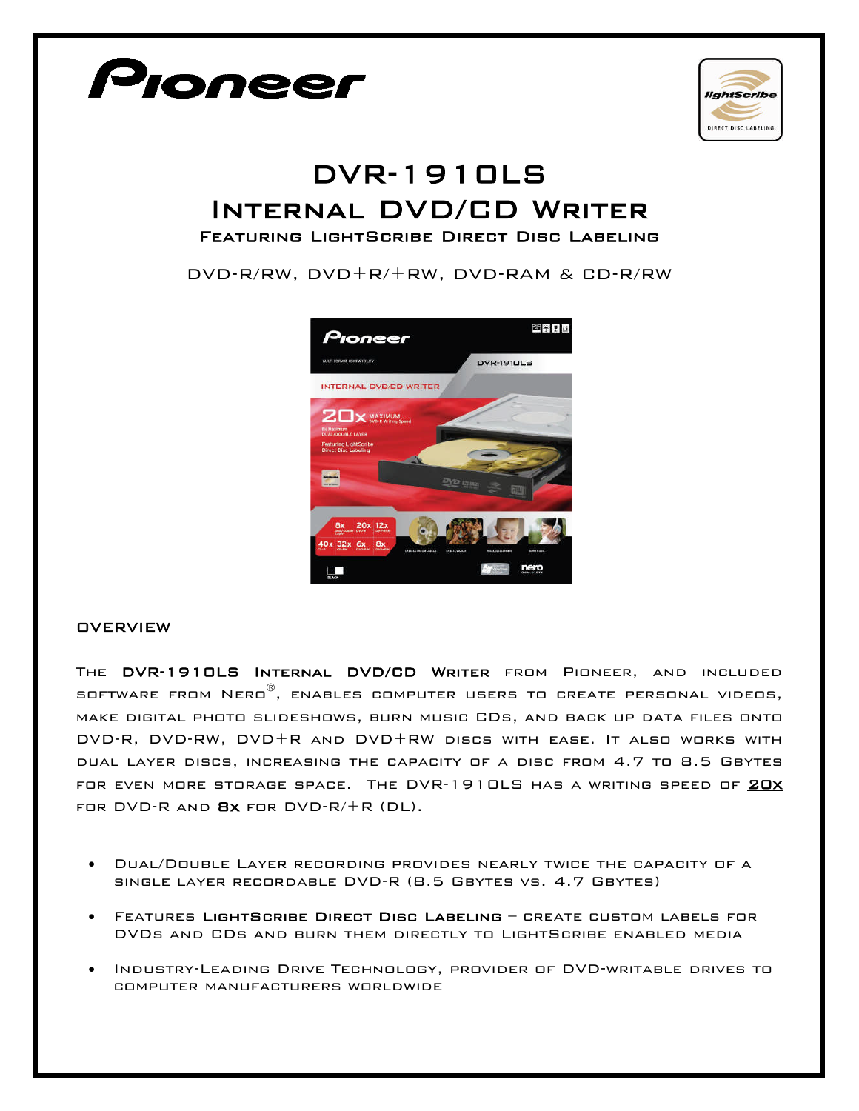

The DVR-1910LS Internal DVD/CD Writer from Pioneer, and included software from Nero , enables computer users to create personal videos, make digital photo slideshows, burn music CDs, and back up data files onto DVD-R, DVD-RW, DVD+R and DVD+RW discs with ease. It also works with dual layer discs, increasing the capacity of a disc from 4.7 to 8.5 Gbytes FOR EVEN MORE STORAGE SPACE. THE DVR-1910LS HAS A WRITING SPEED OF 20X FOR DVD-R AND  $Bx$  for DVD-R/+R (DL).

- Dual/Double Layer recording provides nearly twice the capacity of a single layer recordable DVD-R (8.5 Gbytes vs. 4.7 Gbytes)
- Features LightScribe Direct Disc Labeling create custom labels for DVDs and CDs and burn them directly to LightScribe enabled media
- Industry-Leading Drive Technology, provider of DVD-writable drives to computer manufacturers worldwide